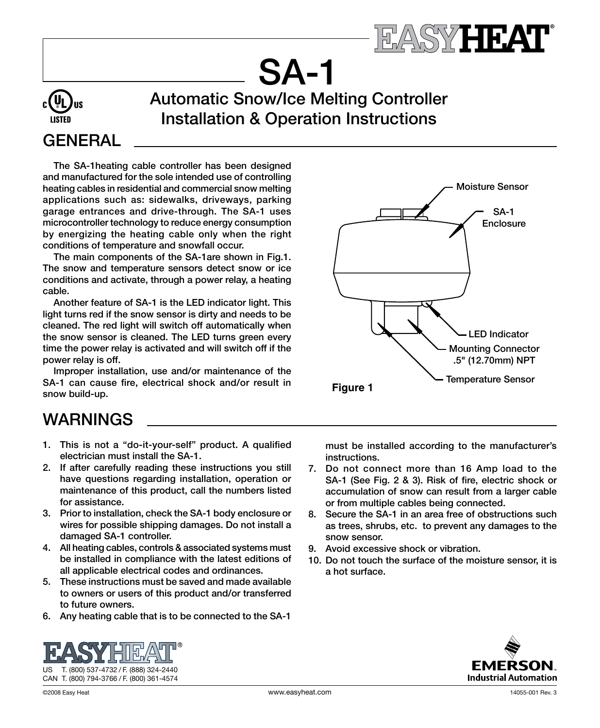

SA-1 Automatic Snow/Ice Melting Controller Installation & Operation Instructions

# **GENERAL**

The SA-1heating cable controller has been designed and manufactured for the sole intended use of controlling heating cables in residential and commercial snow melting applications such as: sidewalks, driveways, parking garage entrances and drive-through. The SA-1 uses microcontroller technology to reduce energy consumption by energizing the heating cable only when the right conditions of temperature and snowfall occur.

The main components of the SA-1are shown in Fig.1. The snow and temperature sensors detect snow or ice conditions and activate, through a power relay, a heating cable.

Another feature of SA-1 is the LED indicator light. This light turns red if the snow sensor is dirty and needs to be cleaned. The red light will switch off automatically when the snow sensor is cleaned. The LED turns green every time the power relay is activated and will switch off if the power relay is off.

Improper installation, use and/or maintenance of the SA-1 can cause fire, electrical shock and/or result in snow build-up.



# WARNINGS

- 1. This is not a "do-it-your-self" product. A qualified electrician must install the SA-1.
- 2. If after carefully reading these instructions you still have questions regarding installation, operation or maintenance of this product, call the numbers listed for assistance.
- 3. Prior to installation, check the SA-1 body enclosure or wires for possible shipping damages. Do not install a damaged SA-1 controller.
- 4. All heating cables, controls & associated systems must be installed in compliance with the latest editions of all applicable electrical codes and ordinances.
- 5. These instructions must be saved and made available to owners or users of this product and/or transferred to future owners.
- 6. Any heating cable that is to be connected to the SA-1

must be installed according to the manufacturer's instructions.

- 7. Do not connect more than 16 Amp load to the SA-1 (See Fig. 2 & 3). Risk of fire, electric shock or accumulation of snow can result from a larger cable or from multiple cables being connected.
- 8. Secure the SA-1 in an area free of obstructions such as trees, shrubs, etc. to prevent any damages to the snow sensor.
- 9. Avoid excessive shock or vibration.
- 10. Do not touch the surface of the moisture sensor, it is a hot surface.



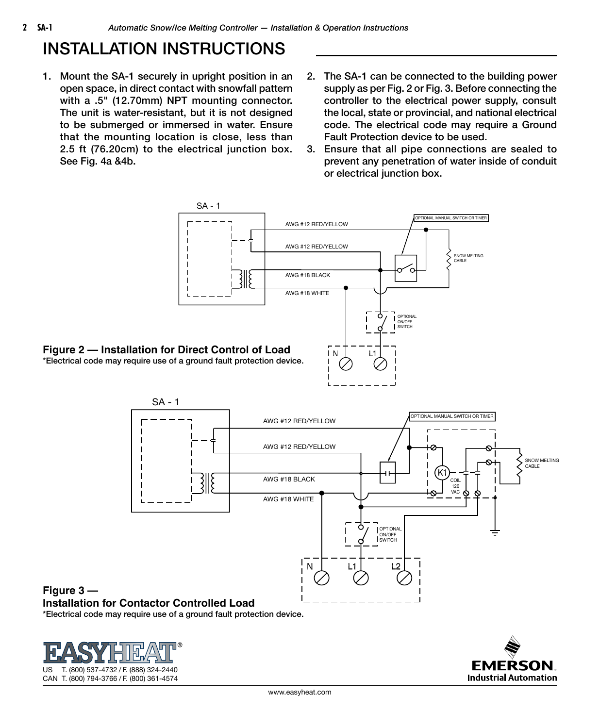## INSTALLATION INSTRUCTIONS

- 1. Mount the SA-1 securely in upright position in an open space, in direct contact with snowfall pattern with a .5" (12.70mm) NPT mounting connector. The unit is water-resistant, but it is not designed to be submerged or immersed in water. Ensure that the mounting location is close, less than 2.5 ft (76.20cm) to the electrical junction box. See Fig. 4a &4b.
- 2. The SA-1 can be connected to the building power supply as per Fig. 2 or Fig. 3. Before connecting the controller to the electrical power supply, consult the local, state or provincial, and national electrical code. The electrical code may require a Ground Fault Protection device to be used.
- 3. Ensure that all pipe connections are sealed to prevent any penetration of water inside of conduit or electrical junction box.





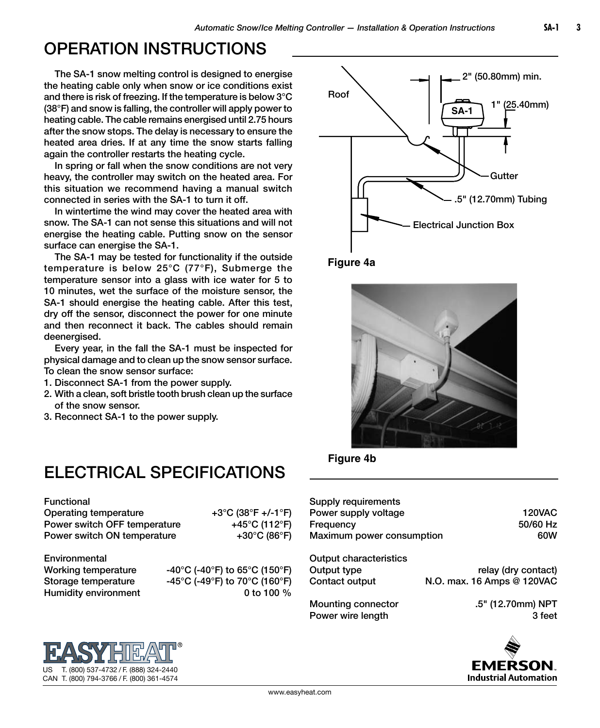#### OPERATION INSTRUCTIONS

The SA-1 snow melting control is designed to energise the heating cable only when snow or ice conditions exist and there is risk of freezing. If the temperature is below 3°C (38°F) and snow is falling, the controller will apply power to heating cable. The cable remains energised until 2.75 hours after the snow stops. The delay is necessary to ensure the heated area dries. If at any time the snow starts falling again the controller restarts the heating cycle.

In spring or fall when the snow conditions are not very heavy, the controller may switch on the heated area. For this situation we recommend having a manual switch connected in series with the SA-1 to turn it off.

In wintertime the wind may cover the heated area with snow. The SA-1 can not sense this situations and will not energise the heating cable. Putting snow on the sensor surface can energise the SA-1.

The SA-1 may be tested for functionality if the outside temperature is below 25°C (77°F), Submerge the temperature sensor into a glass with ice water for 5 to 10 minutes, wet the surface of the moisture sensor, the SA-1 should energise the heating cable. After this test, dry off the sensor, disconnect the power for one minute and then reconnect it back. The cables should remain deenergised.

Every year, in the fall the SA-1 must be inspected for physical damage and to clean up the snow sensor surface. To clean the snow sensor surface:

- 1. Disconnect SA-1 from the power supply.
- 2. With a clean, soft bristle tooth brush clean up the surface of the snow sensor.
- 3. Reconnect SA-1 to the power supply.

## ELECTRICAL SPECIFICATIONS

Functional

Operating temperature +3°C (38°F +/-1°F) Power switch OFF temperature +45°C (112°F) Power switch ON temperature  $+30^{\circ}$ C (86°F)

Environmental

US T. (800) 537-4732 / F. (888) 324-2440 CAN T. (800) 794-3766 / F. (800) 361-4574

Working temperature  $-40^{\circ}$ C (-40°F) to 65°C (150°F) Storage temperature -45°C (-49°F) to 70°C (160°F) Humidity environment 0 to 100 %



**Figure 4a**





| Supply requirements                     |                             |
|-----------------------------------------|-----------------------------|
| Power supply voltage                    | <b>120VAC</b>               |
| Frequency                               | 50/60 Hz                    |
| Maximum power consumption               | 60W                         |
| Output characteristics                  |                             |
| Output type                             | relay (dry contact)         |
| Contact output                          | N.O. max. 16 Amps @ 120VAC  |
| Mounting connector<br>Power wire length | .5" (12.70mm) NPT<br>3 feet |
|                                         |                             |